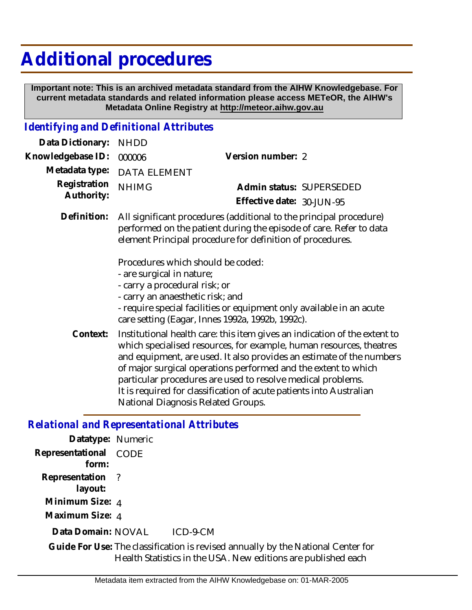## **Additional procedures**

 **Important note: This is an archived metadata standard from the AIHW Knowledgebase. For current metadata standards and related information please access METeOR, the AIHW's Metadata Online Registry at http://meteor.aihw.gov.au**

## *Identifying and Definitional Attributes*

| Data Dictionary:           | <b>NHDD</b>                                                                                                                                                                                           |                                                                                                                          |  |
|----------------------------|-------------------------------------------------------------------------------------------------------------------------------------------------------------------------------------------------------|--------------------------------------------------------------------------------------------------------------------------|--|
| Knowledgebase ID:          | 000006                                                                                                                                                                                                | Version number: 2                                                                                                        |  |
| Metadata type:             | <b>DATA ELEMENT</b>                                                                                                                                                                                   |                                                                                                                          |  |
| Registration<br>Authority: | <b>NHIMG</b>                                                                                                                                                                                          | Admin status: SUPERSEDED                                                                                                 |  |
|                            |                                                                                                                                                                                                       | Effective date: 30-JUN-95                                                                                                |  |
| Definition:                | All significant procedures (additional to the principal procedure)<br>performed on the patient during the episode of care. Refer to data<br>element Principal procedure for definition of procedures. |                                                                                                                          |  |
|                            | Procedures which should be coded:<br>- are surgical in nature;<br>- carry a procedural risk; or<br>- carry an anaesthetic risk; and                                                                   | - require special facilities or equipment only available in an acute<br>care setting (Eagar, Innes 1992a, 1992b, 1992c). |  |

Institutional health care: this item gives an indication of the extent to which specialised resources, for example, human resources, theatres and equipment, are used. It also provides an estimate of the numbers of major surgical operations performed and the extent to which particular procedures are used to resolve medical problems. It is required for classification of acute patients into Australian National Diagnosis Related Groups. **Context:**

## *Relational and Representational Attributes*

| Datatype: Numeric              |                                                                                                                                                   |
|--------------------------------|---------------------------------------------------------------------------------------------------------------------------------------------------|
| Representational CODE<br>form: |                                                                                                                                                   |
| Representation ?<br>layout:    |                                                                                                                                                   |
| Minimum Size: 4                |                                                                                                                                                   |
| Maximum Size: 4                |                                                                                                                                                   |
| Data Domain: NOVAL             | ICD-9-CM                                                                                                                                          |
|                                | Guide For Use: The classification is revised annually by the National Center for<br>Health Statistics in the USA. New editions are published each |